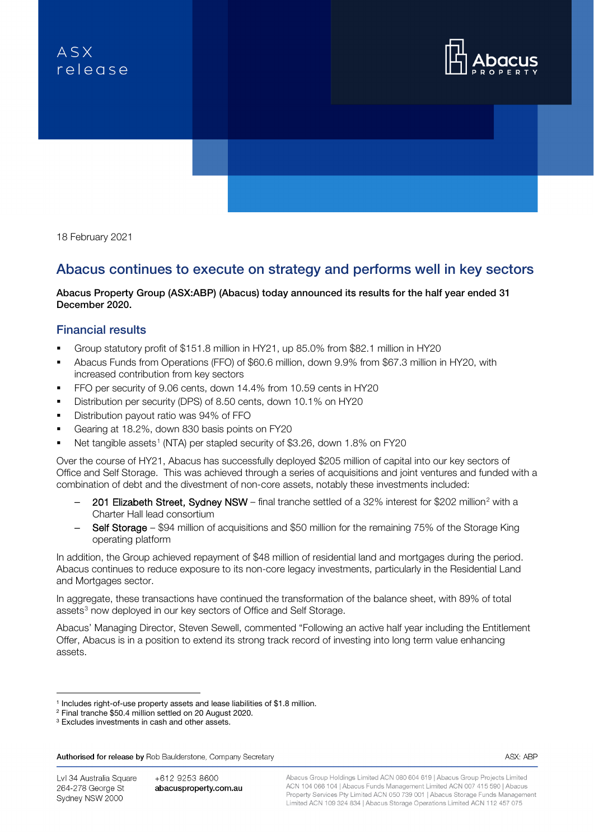# ASX relegse



18 February 2021

# Abacus continues to execute on strategy and performs well in key sectors

### Abacus Property Group (ASX:ABP) (Abacus) today announced its results for the half year ended 31 December 2020.

### Financial results

- Group statutory profit of \$151.8 million in HY21, up 85.0% from \$82.1 million in HY20
- Abacus Funds from Operations (FFO) of \$60.6 million, down 9.9% from \$67.3 million in HY20, with increased contribution from key sectors
- FFO per security of 9.06 cents, down 14.4% from 10.59 cents in HY20
- Distribution per security (DPS) of 8.50 cents, down 10.1% on HY20
- **Distribution payout ratio was 94% of FFO**
- Gearing at 18.2%, down 830 basis points on FY20
- Net tangible assets<sup>[1](#page-0-0)</sup> (NTA) per stapled security of \$3.26, down 1.8% on FY20

Over the course of HY21, Abacus has successfully deployed \$205 million of capital into our key sectors of Office and Self Storage. This was achieved through a series of acquisitions and joint ventures and funded with a combination of debt and the divestment of non-core assets, notably these investments included:

- [2](#page-0-1)01 Elizabeth Street, Sydney NSW final tranche settled of a 32% interest for \$202 million<sup>2</sup> with a Charter Hall lead consortium
- Self Storage \$94 million of acquisitions and \$50 million for the remaining 75% of the Storage King operating platform

In addition, the Group achieved repayment of \$48 million of residential land and mortgages during the period. Abacus continues to reduce exposure to its non-core legacy investments, particularly in the Residential Land and Mortgages sector.

In aggregate, these transactions have continued the transformation of the balance sheet, with 89% of total assets<sup>[3](#page-0-2)</sup> now deployed in our key sectors of Office and Self Storage.

Abacus' Managing Director, Steven Sewell, commented "Following an active half year including the Entitlement Offer, Abacus is in a position to extend its strong track record of investing into long term value enhancing assets.

Authorised for release by Rob Baulderstone, Company Secretary

Lvl 34 Australia Square 264-278 George St Sydney NSW 2000

+612 9253 8600 abacusproperty.com.au Abacus Group Holdings Limited ACN 080 604 619 | Abacus Group Projects Limited ACN 104 066 104 | Abacus Funds Management Limited ACN 007 415 590 | Abacus Property Services Pty Limited ACN 050 739 001 | Abacus Storage Funds Management Limited ACN 109 324 834 | Abacus Storage Operations Limited ACN 112 457 075

ASX: ABP

<span id="page-0-0"></span><sup>1</sup> Includes right-of-use property assets and lease liabilities of \$1.8 million.

<span id="page-0-1"></span><sup>2</sup> Final tranche \$50.4 million settled on 20 August 2020.

<span id="page-0-2"></span><sup>&</sup>lt;sup>3</sup> Excludes investments in cash and other assets.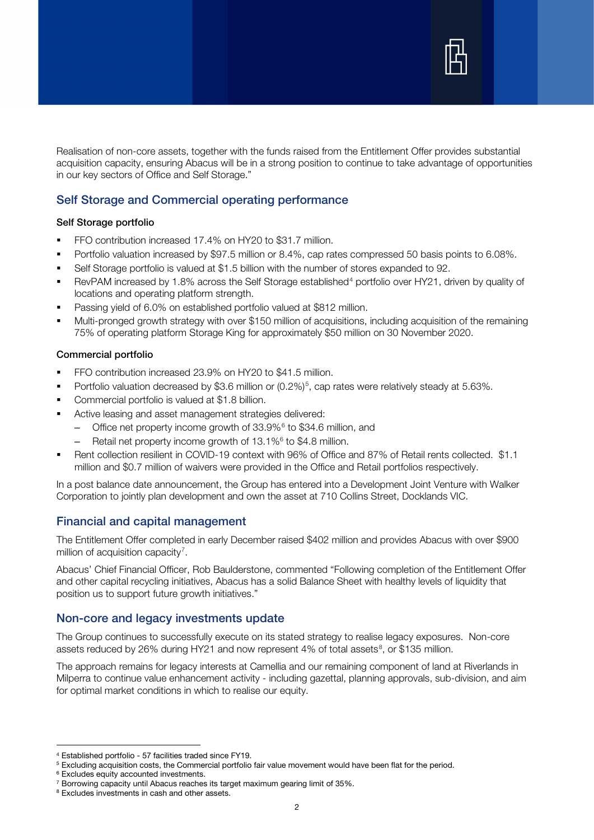

Realisation of non-core assets, together with the funds raised from the Entitlement Offer provides substantial acquisition capacity, ensuring Abacus will be in a strong position to continue to take advantage of opportunities in our key sectors of Office and Self Storage."

# Self Storage and Commercial operating performance

#### Self Storage portfolio

- **FFO contribution increased 17.4% on HY20 to \$31.7 million.**
- **Portfolio valuation increased by \$97.5 million or 8.4%, cap rates compressed 50 basis points to 6.08%.**
- Self Storage portfolio is valued at \$1.5 billion with the number of stores expanded to 92.
- RevPAM increased by 1.8% across the Self Storage established<sup>[4](#page-1-0)</sup> portfolio over HY21, driven by quality of locations and operating platform strength.
- Passing yield of 6.0% on established portfolio valued at \$812 million.
- Multi-pronged growth strategy with over \$150 million of acquisitions, including acquisition of the remaining 75% of operating platform Storage King for approximately \$50 million on 30 November 2020.

#### Commercial portfolio

- FFO contribution increased 23.9% on HY20 to \$41.5 million.
- Portfolio valuation decreased by \$3.6 million or (0.2%)<sup>[5](#page-1-1)</sup>, cap rates were relatively steady at 5.63%.
- Commercial portfolio is valued at \$1.8 billion.
- **Active leasing and asset management strategies delivered:** 
	- Office net property income growth of 33.9%[6](#page-1-2) to \$34.6 million, and
	- Retail net property income growth of 13.1%6 to \$4.8 million.
- Rent collection resilient in COVID-19 context with 96% of Office and 87% of Retail rents collected. \$1.1 million and \$0.7 million of waivers were provided in the Office and Retail portfolios respectively.

In a post balance date announcement, the Group has entered into a Development Joint Venture with Walker Corporation to jointly plan development and own the asset at 710 Collins Street, Docklands VIC.

# Financial and capital management

The Entitlement Offer completed in early December raised \$402 million and provides Abacus with over \$900 million of acquisition capacity<sup>[7](#page-1-3)</sup>.

Abacus' Chief Financial Officer, Rob Baulderstone, commented "Following completion of the Entitlement Offer and other capital recycling initiatives, Abacus has a solid Balance Sheet with healthy levels of liquidity that position us to support future growth initiatives."

#### Non-core and legacy investments update

The Group continues to successfully execute on its stated strategy to realise legacy exposures. Non-core assets reduced by 26% during HY21 and now represent 4% of total assets<sup>[8](#page-1-4)</sup>, or \$135 million.

The approach remains for legacy interests at Camellia and our remaining component of land at Riverlands in Milperra to continue value enhancement activity - including gazettal, planning approvals, sub-division, and aim for optimal market conditions in which to realise our equity.

<sup>4</sup> Established portfolio - 57 facilities traded since FY19.

<span id="page-1-1"></span><span id="page-1-0"></span><sup>5</sup> Excluding acquisition costs, the Commercial portfolio fair value movement would have been flat for the period.

<span id="page-1-2"></span><sup>6</sup> Excludes equity accounted investments.

<sup>7</sup> Borrowing capacity until Abacus reaches its target maximum gearing limit of 35%.

<span id="page-1-4"></span><span id="page-1-3"></span><sup>&</sup>lt;sup>8</sup> Excludes investments in cash and other assets.